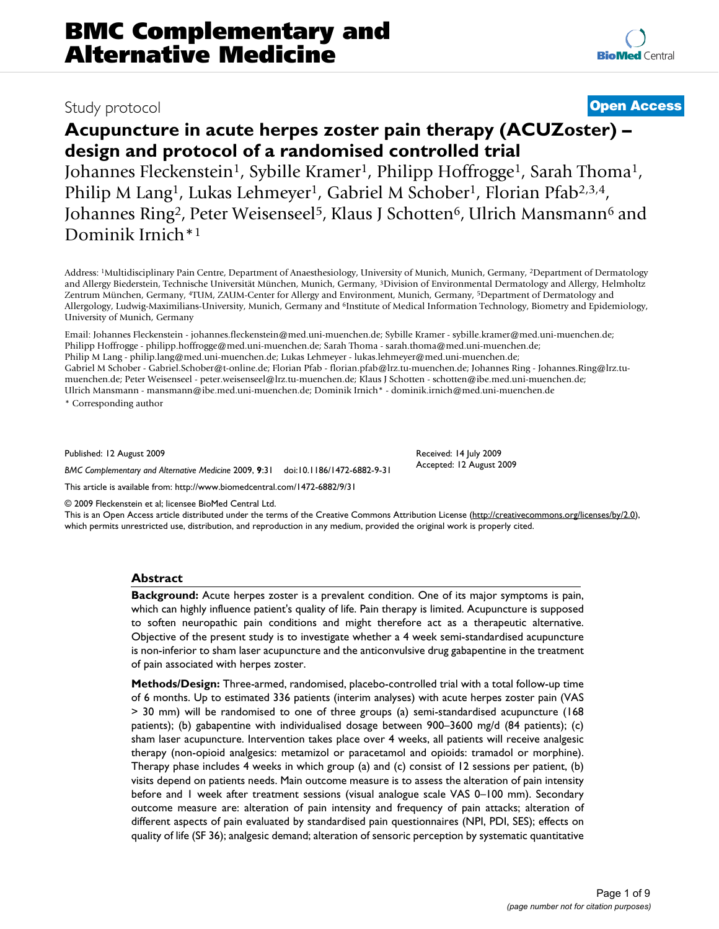# Study protocol **[Open Access](http://www.biomedcentral.com/info/about/charter/)**

# **Acupuncture in acute herpes zoster pain therapy (ACUZoster) – design and protocol of a randomised controlled trial**

Johannes Fleckenstein<sup>1</sup>, Sybille Kramer<sup>1</sup>, Philipp Hoffrogge<sup>1</sup>, Sarah Thoma<sup>1</sup>, Philip M Lang<sup>1</sup>, Lukas Lehmeyer<sup>1</sup>, Gabriel M Schober<sup>1</sup>, Florian Pfab<sup>2,3,4</sup>, Johannes Ring<sup>2</sup>, Peter Weisenseel<sup>5</sup>, Klaus J Schotten<sup>6</sup>, Ulrich Mansmann<sup>6</sup> and Dominik Irnich\*1

Address: 1Multidisciplinary Pain Centre, Department of Anaesthesiology, University of Munich, Munich, Germany, 2Department of Dermatology and Allergy Biederstein, Technische Universität München, Munich, Germany, 3Division of Environmental Dermatology and Allergy, Helmholtz Zentrum München, Germany, 4TUM, ZAUM-Center for Allergy and Environment, Munich, Germany, 5Department of Dermatology and Allergology, Ludwig-Maximilians-University, Munich, Germany and 6Institute of Medical Information Technology, Biometry and Epidemiology, University of Munich, Germany

Email: Johannes Fleckenstein - johannes.fleckenstein@med.uni-muenchen.de; Sybille Kramer - sybille.kramer@med.uni-muenchen.de; Philipp Hoffrogge - philipp.hoffrogge@med.uni-muenchen.de; Sarah Thoma - sarah.thoma@med.uni-muenchen.de; Philip M Lang - philip.lang@med.uni-muenchen.de; Lukas Lehmeyer - lukas.lehmeyer@med.uni-muenchen.de; Gabriel M Schober - Gabriel.Schober@t-online.de; Florian Pfab - florian.pfab@lrz.tu-muenchen.de; Johannes Ring - Johannes.Ring@lrz.tumuenchen.de; Peter Weisenseel - peter.weisenseel@lrz.tu-muenchen.de; Klaus J Schotten - schotten@ibe.med.uni-muenchen.de; Ulrich Mansmann - mansmann@ibe.med.uni-muenchen.de; Dominik Irnich\* - dominik.irnich@med.uni-muenchen.de

\* Corresponding author

Published: 12 August 2009

*BMC Complementary and Alternative Medicine* 2009, **9**:31 doi:10.1186/1472-6882-9-31

[This article is available from: http://www.biomedcentral.com/1472-6882/9/31](http://www.biomedcentral.com/1472-6882/9/31)

© 2009 Fleckenstein et al; licensee BioMed Central Ltd.

This is an Open Access article distributed under the terms of the Creative Commons Attribution License [\(http://creativecommons.org/licenses/by/2.0\)](http://creativecommons.org/licenses/by/2.0), which permits unrestricted use, distribution, and reproduction in any medium, provided the original work is properly cited.

Received: 14 July 2009 Accepted: 12 August 2009

#### **Abstract**

**Background:** Acute herpes zoster is a prevalent condition. One of its major symptoms is pain, which can highly influence patient's quality of life. Pain therapy is limited. Acupuncture is supposed to soften neuropathic pain conditions and might therefore act as a therapeutic alternative. Objective of the present study is to investigate whether a 4 week semi-standardised acupuncture is non-inferior to sham laser acupuncture and the anticonvulsive drug gabapentine in the treatment of pain associated with herpes zoster.

**Methods/Design:** Three-armed, randomised, placebo-controlled trial with a total follow-up time of 6 months. Up to estimated 336 patients (interim analyses) with acute herpes zoster pain (VAS > 30 mm) will be randomised to one of three groups (a) semi-standardised acupuncture (168 patients); (b) gabapentine with individualised dosage between 900–3600 mg/d (84 patients); (c) sham laser acupuncture. Intervention takes place over 4 weeks, all patients will receive analgesic therapy (non-opioid analgesics: metamizol or paracetamol and opioids: tramadol or morphine). Therapy phase includes 4 weeks in which group (a) and (c) consist of 12 sessions per patient, (b) visits depend on patients needs. Main outcome measure is to assess the alteration of pain intensity before and 1 week after treatment sessions (visual analogue scale VAS 0–100 mm). Secondary outcome measure are: alteration of pain intensity and frequency of pain attacks; alteration of different aspects of pain evaluated by standardised pain questionnaires (NPI, PDI, SES); effects on quality of life (SF 36); analgesic demand; alteration of sensoric perception by systematic quantitative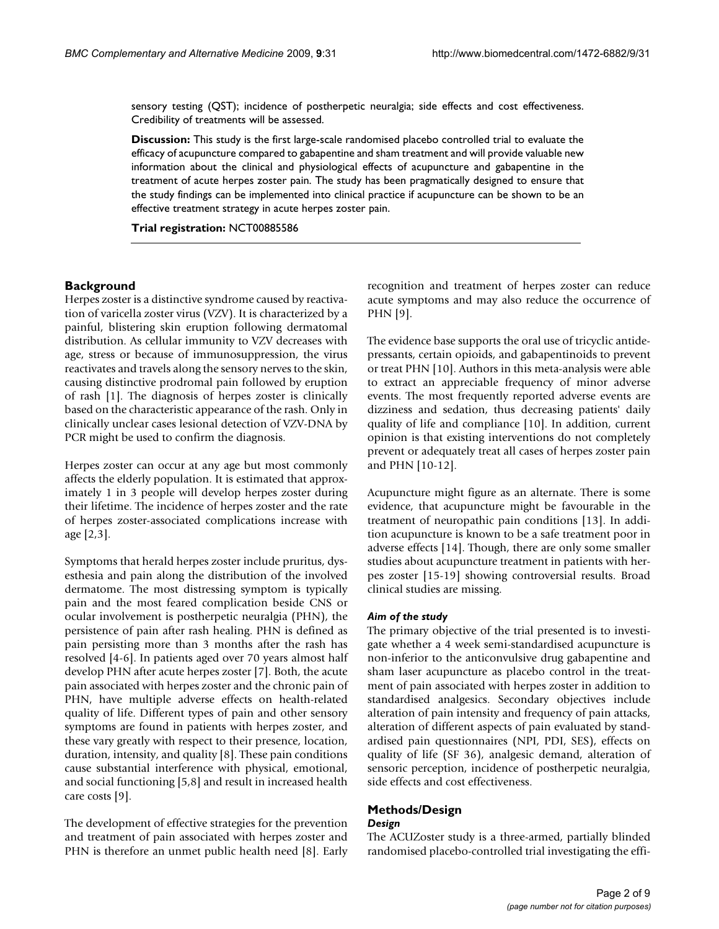sensory testing (QST); incidence of postherpetic neuralgia; side effects and cost effectiveness. Credibility of treatments will be assessed.

**Discussion:** This study is the first large-scale randomised placebo controlled trial to evaluate the efficacy of acupuncture compared to gabapentine and sham treatment and will provide valuable new information about the clinical and physiological effects of acupuncture and gabapentine in the treatment of acute herpes zoster pain. The study has been pragmatically designed to ensure that the study findings can be implemented into clinical practice if acupuncture can be shown to be an effective treatment strategy in acute herpes zoster pain.

**Trial registration:** NCT00885586

## **Background**

Herpes zoster is a distinctive syndrome caused by reactivation of varicella zoster virus (VZV). It is characterized by a painful, blistering skin eruption following dermatomal distribution. As cellular immunity to VZV decreases with age, stress or because of immunosuppression, the virus reactivates and travels along the sensory nerves to the skin, causing distinctive prodromal pain followed by eruption of rash [[1\]](#page-7-0). The diagnosis of herpes zoster is clinically based on the characteristic appearance of the rash. Only in clinically unclear cases lesional detection of VZV-DNA by PCR might be used to confirm the diagnosis.

Herpes zoster can occur at any age but most commonly affects the elderly population. It is estimated that approximately 1 in 3 people will develop herpes zoster during their lifetime. The incidence of herpes zoster and the rate of herpes zoster-associated complications increase with age [\[2](#page-7-1),[3](#page-7-2)].

Symptoms that herald herpes zoster include pruritus, dysesthesia and pain along the distribution of the involved dermatome. The most distressing symptom is typically pain and the most feared complication beside CNS or ocular involvement is postherpetic neuralgia (PHN), the persistence of pain after rash healing. PHN is defined as pain persisting more than 3 months after the rash has resolved [\[4-](#page-7-3)[6](#page-7-4)]. In patients aged over 70 years almost half develop PHN after acute herpes zoster [[7](#page-7-5)]. Both, the acute pain associated with herpes zoster and the chronic pain of PHN, have multiple adverse effects on health-related quality of life. Different types of pain and other sensory symptoms are found in patients with herpes zoster, and these vary greatly with respect to their presence, location, duration, intensity, and quality [[8\]](#page-7-6). These pain conditions cause substantial interference with physical, emotional, and social functioning [\[5](#page-7-7)[,8\]](#page-7-6) and result in increased health care costs [[9](#page-7-8)].

The development of effective strategies for the prevention and treatment of pain associated with herpes zoster and PHN is therefore an unmet public health need [[8\]](#page-7-6). Early recognition and treatment of herpes zoster can reduce acute symptoms and may also reduce the occurrence of PHN [[9](#page-7-8)].

The evidence base supports the oral use of tricyclic antidepressants, certain opioids, and gabapentinoids to prevent or treat PHN [[10\]](#page-7-9). Authors in this meta-analysis were able to extract an appreciable frequency of minor adverse events. The most frequently reported adverse events are dizziness and sedation, thus decreasing patients' daily quality of life and compliance [[10](#page-7-9)]. In addition, current opinion is that existing interventions do not completely prevent or adequately treat all cases of herpes zoster pain and PHN [[10](#page-7-9)[-12](#page-7-10)].

Acupuncture might figure as an alternate. There is some evidence, that acupuncture might be favourable in the treatment of neuropathic pain conditions [\[13](#page-8-0)]. In addition acupuncture is known to be a safe treatment poor in adverse effects [\[14](#page-8-1)]. Though, there are only some smaller studies about acupuncture treatment in patients with herpes zoster [[15-](#page-8-2)[19\]](#page-8-3) showing controversial results. Broad clinical studies are missing.

#### *Aim of the study*

The primary objective of the trial presented is to investigate whether a 4 week semi-standardised acupuncture is non-inferior to the anticonvulsive drug gabapentine and sham laser acupuncture as placebo control in the treatment of pain associated with herpes zoster in addition to standardised analgesics. Secondary objectives include alteration of pain intensity and frequency of pain attacks, alteration of different aspects of pain evaluated by standardised pain questionnaires (NPI, PDI, SES), effects on quality of life (SF 36), analgesic demand, alteration of sensoric perception, incidence of postherpetic neuralgia, side effects and cost effectiveness.

#### **Methods/Design** *Design*

The ACUZoster study is a three-armed, partially blinded randomised placebo-controlled trial investigating the effi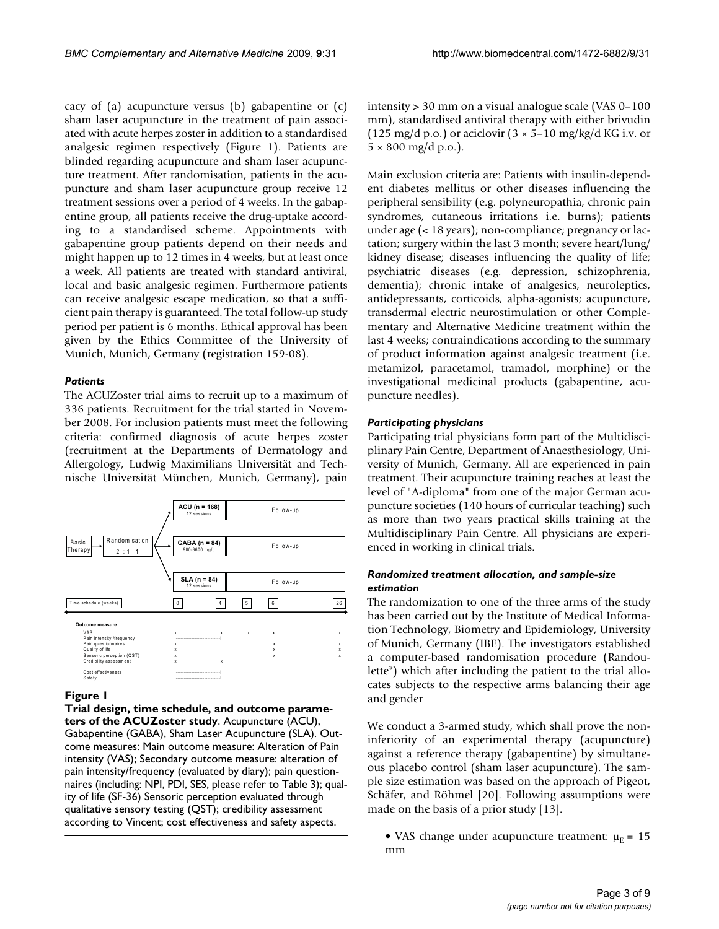cacy of (a) acupuncture versus (b) gabapentine or (c) sham laser acupuncture in the treatment of pain associated with acute herpes zoster in addition to a standardised analgesic regimen respectively (Figure [1\)](#page-2-0). Patients are blinded regarding acupuncture and sham laser acupuncture treatment. After randomisation, patients in the acupuncture and sham laser acupuncture group receive 12 treatment sessions over a period of 4 weeks. In the gabapentine group, all patients receive the drug-uptake according to a standardised scheme. Appointments with gabapentine group patients depend on their needs and might happen up to 12 times in 4 weeks, but at least once a week. All patients are treated with standard antiviral, local and basic analgesic regimen. Furthermore patients can receive analgesic escape medication, so that a sufficient pain therapy is guaranteed. The total follow-up study period per patient is 6 months. Ethical approval has been given by the Ethics Committee of the University of Munich, Munich, Germany (registration 159-08).

#### *Patients*

The ACUZoster trial aims to recruit up to a maximum of 336 patients. Recruitment for the trial started in November 2008. For inclusion patients must meet the following criteria: confirmed diagnosis of acute herpes zoster (recruitment at the Departments of Dermatology and Allergology, Ludwig Maximilians Universität and Technische Universität München, Munich, Germany), pain

<span id="page-2-0"></span>

#### Figure 1

**Trial design, time schedule, and outcome parameters of the ACUZoster study**. Acupuncture (ACU), Gabapentine (GABA), Sham Laser Acupuncture (SLA). Outcome measures: Main outcome measure: Alteration of Pain intensity (VAS); Secondary outcome measure: alteration of pain intensity/frequency (evaluated by diary); pain questionnaires (including: NPI, PDI, SES, please refer to Table 3); quality of life (SF-36) Sensoric perception evaluated through qualitative sensory testing (QST); credibility assessment according to Vincent; cost effectiveness and safety aspects.

intensity > 30 mm on a visual analogue scale (VAS 0–100 mm), standardised antiviral therapy with either brivudin (125 mg/d p.o.) or aciclovir  $(3 \times 5-10 \text{ mg/kg/d KG i.v. or})$  $5 \times 800$  mg/d p.o.).

Main exclusion criteria are: Patients with insulin-dependent diabetes mellitus or other diseases influencing the peripheral sensibility (e.g. polyneuropathia, chronic pain syndromes, cutaneous irritations i.e. burns); patients under age (< 18 years); non-compliance; pregnancy or lactation; surgery within the last 3 month; severe heart/lung/ kidney disease; diseases influencing the quality of life; psychiatric diseases (e.g. depression, schizophrenia, dementia); chronic intake of analgesics, neuroleptics, antidepressants, corticoids, alpha-agonists; acupuncture, transdermal electric neurostimulation or other Complementary and Alternative Medicine treatment within the last 4 weeks; contraindications according to the summary of product information against analgesic treatment (i.e. metamizol, paracetamol, tramadol, morphine) or the investigational medicinal products (gabapentine, acupuncture needles).

#### *Participating physicians*

Participating trial physicians form part of the Multidisciplinary Pain Centre, Department of Anaesthesiology, University of Munich, Germany. All are experienced in pain treatment. Their acupuncture training reaches at least the level of "A-diploma" from one of the major German acupuncture societies (140 hours of curricular teaching) such as more than two years practical skills training at the Multidisciplinary Pain Centre. All physicians are experienced in working in clinical trials.

## *Randomized treatment allocation, and sample-size estimation*

The randomization to one of the three arms of the study has been carried out by the Institute of Medical Information Technology, Biometry and Epidemiology, University of Munich, Germany (IBE). The investigators established a computer-based randomisation procedure (Randoulette®) which after including the patient to the trial allocates subjects to the respective arms balancing their age and gender

We conduct a 3-armed study, which shall prove the noninferiority of an experimental therapy (acupuncture) against a reference therapy (gabapentine) by simultaneous placebo control (sham laser acupuncture). The sample size estimation was based on the approach of Pigeot, Schäfer, and Röhmel [\[20](#page-8-4)]. Following assumptions were made on the basis of a prior study [[13](#page-8-0)].

• VAS change under acupuncture treatment:  $\mu_E = 15$ mm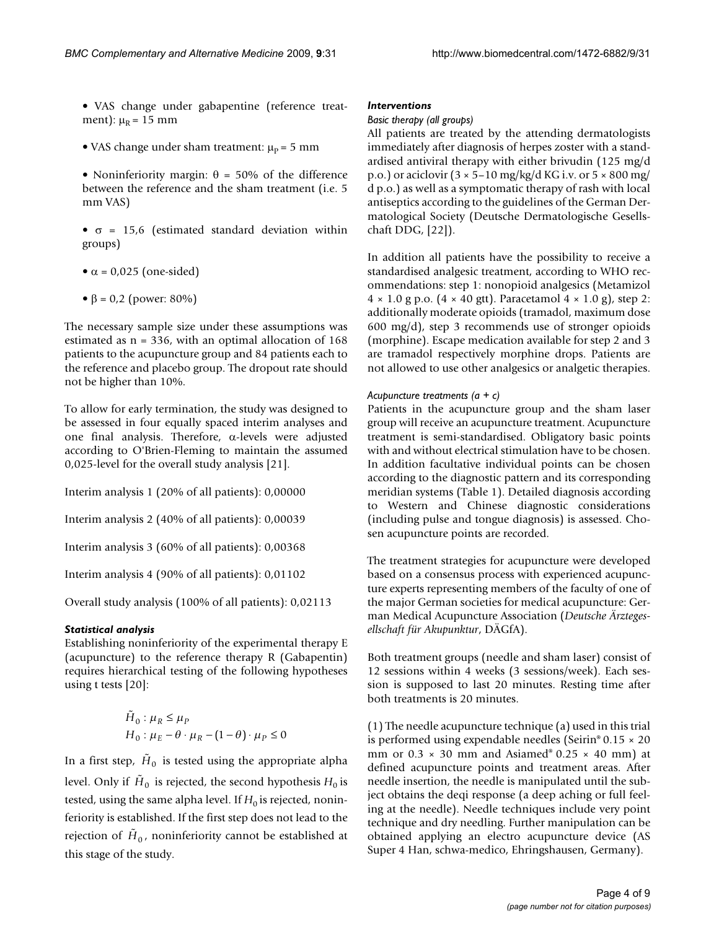• VAS change under gabapentine (reference treatment):  $\mu_R = 15$  mm

- VAS change under sham treatment:  $\mu_p = 5$  mm
- Noninferiority margin:  $\theta = 50\%$  of the difference between the reference and the sham treatment (i.e. 5 mm VAS)
- $\sigma$  = 15,6 (estimated standard deviation within groups)
- $\alpha$  = 0,025 (one-sided)
- $β = 0,2$  (power: 80%)

The necessary sample size under these assumptions was estimated as  $n = 336$ , with an optimal allocation of 168 patients to the acupuncture group and 84 patients each to the reference and placebo group. The dropout rate should not be higher than 10%.

To allow for early termination, the study was designed to be assessed in four equally spaced interim analyses and one final analysis. Therefore, α-levels were adjusted according to O'Brien-Fleming to maintain the assumed 0,025-level for the overall study analysis [\[21](#page-8-5)].

Interim analysis 1 (20% of all patients): 0,00000

Interim analysis 2 (40% of all patients): 0,00039

Interim analysis 3 (60% of all patients): 0,00368

Interim analysis 4 (90% of all patients): 0,01102

Overall study analysis (100% of all patients): 0,02113

# *Statistical analysis*

Establishing noninferiority of the experimental therapy E (acupuncture) to the reference therapy R (Gabapentin) requires hierarchical testing of the following hypotheses using t tests [\[20\]](#page-8-4):

$$
\tilde{H}_0: \mu_R \le \mu_P
$$
  
\n
$$
H_0: \mu_E - \theta \cdot \mu_R - (1 - \theta) \cdot \mu_P \le 0
$$

In a first step,  $\tilde{H}_0$  is tested using the appropriate alpha level. Only if  $\tilde{H}_0$  is rejected, the second hypothesis  $H_0$  is tested, using the same alpha level. If  $H_0$  is rejected, noninferiority is established. If the first step does not lead to the rejection of  $\tilde{H}_0$ , noninferiority cannot be established at this stage of the study.

# *Interventions*

# *Basic therapy (all groups)*

All patients are treated by the attending dermatologists immediately after diagnosis of herpes zoster with a standardised antiviral therapy with either brivudin (125 mg/d p.o.) or aciclovir  $(3 \times 5 - 10 \text{ mg/kg/d KG i.v. or } 5 \times 800 \text{ mg/m})$ d p.o.) as well as a symptomatic therapy of rash with local antiseptics according to the guidelines of the German Dermatological Society (Deutsche Dermatologische Gesellschaft DDG, [\[22](#page-8-6)]).

In addition all patients have the possibility to receive a standardised analgesic treatment, according to WHO recommendations: step 1: nonopioid analgesics (Metamizol  $4 \times 1.0$  g p.o.  $(4 \times 40$  gtt). Paracetamol  $4 \times 1.0$  g), step 2: additionally moderate opioids (tramadol, maximum dose 600 mg/d), step 3 recommends use of stronger opioids (morphine). Escape medication available for step 2 and 3 are tramadol respectively morphine drops. Patients are not allowed to use other analgesics or analgetic therapies.

# *Acupuncture treatments (a + c)*

Patients in the acupuncture group and the sham laser group will receive an acupuncture treatment. Acupuncture treatment is semi-standardised. Obligatory basic points with and without electrical stimulation have to be chosen. In addition facultative individual points can be chosen according to the diagnostic pattern and its corresponding meridian systems (Table [1\)](#page-4-0). Detailed diagnosis according to Western and Chinese diagnostic considerations (including pulse and tongue diagnosis) is assessed. Chosen acupuncture points are recorded.

The treatment strategies for acupuncture were developed based on a consensus process with experienced acupuncture experts representing members of the faculty of one of the major German societies for medical acupuncture: German Medical Acupuncture Association (*Deutsche Ärztegesellschaft für Akupunktur*, DÄGfA).

Both treatment groups (needle and sham laser) consist of 12 sessions within 4 weeks (3 sessions/week). Each session is supposed to last 20 minutes. Resting time after both treatments is 20 minutes.

(1) The needle acupuncture technique (a) used in this trial is performed using expendable needles (Seirin®  $0.15 \times 20$ mm or  $0.3 \times 30$  mm and Asiamed®  $0.25 \times 40$  mm) at defined acupuncture points and treatment areas. After needle insertion, the needle is manipulated until the subject obtains the deqi response (a deep aching or full feeling at the needle). Needle techniques include very point technique and dry needling. Further manipulation can be obtained applying an electro acupuncture device (AS Super 4 Han, schwa-medico, Ehringshausen, Germany).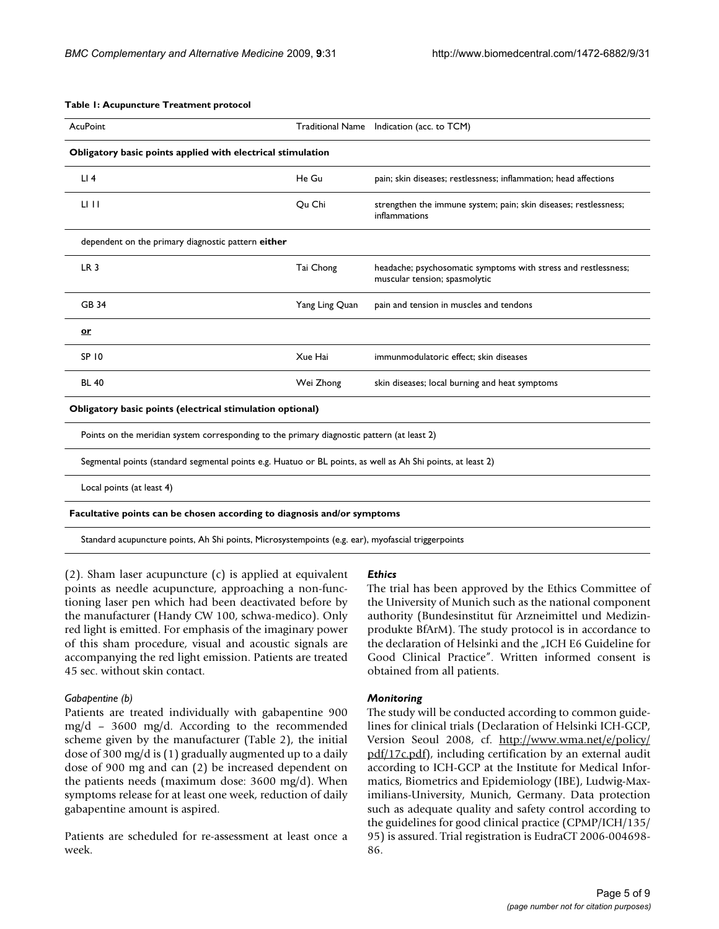| <b>AcuPoint</b>                                             |                                                                                                                                                       | Traditional Name Indication (acc. to TCM)                                                       |  |  |
|-------------------------------------------------------------|-------------------------------------------------------------------------------------------------------------------------------------------------------|-------------------------------------------------------------------------------------------------|--|--|
| Obligatory basic points applied with electrical stimulation |                                                                                                                                                       |                                                                                                 |  |  |
| $LI$ 4                                                      | He Gu                                                                                                                                                 | pain; skin diseases; restlessness; inflammation; head affections                                |  |  |
| LI I I                                                      | Qu Chi                                                                                                                                                | strengthen the immune system; pain; skin diseases; restlessness;<br>inflammations               |  |  |
| dependent on the primary diagnostic pattern either          |                                                                                                                                                       |                                                                                                 |  |  |
| LR <sub>3</sub>                                             | Tai Chong                                                                                                                                             | headache; psychosomatic symptoms with stress and restlessness;<br>muscular tension; spasmolytic |  |  |
| <b>GB 34</b>                                                | Yang Ling Quan                                                                                                                                        | pain and tension in muscles and tendons                                                         |  |  |
| <u>or</u>                                                   |                                                                                                                                                       |                                                                                                 |  |  |
| SP 10                                                       | Xue Hai                                                                                                                                               | immunmodulatoric effect; skin diseases                                                          |  |  |
| <b>BL 40</b>                                                | Wei Zhong                                                                                                                                             | skin diseases; local burning and heat symptoms                                                  |  |  |
| Obligatory basic points (electrical stimulation optional)   |                                                                                                                                                       |                                                                                                 |  |  |
|                                                             | Points on the meridian system corresponding to the primary diagnostic pattern (at least 2)                                                            |                                                                                                 |  |  |
|                                                             | Segmental points (standard segmental points e.g. Huatuo or BL points, as well as Ah Shi points, at least 2)                                           |                                                                                                 |  |  |
| Local points (at least 4)                                   |                                                                                                                                                       |                                                                                                 |  |  |
|                                                             | Facultative points can be chosen according to diagnosis and/or symptoms                                                                               |                                                                                                 |  |  |
|                                                             | $\mathbf{C}_i$ in the second state of $\mathbf{A}$ $\mathbf{C}$ is the $\mathbf{A}$ in the second state $\mathbf{C}_i$ is the state of $\mathbf{C}_i$ |                                                                                                 |  |  |

#### <span id="page-4-0"></span>**Table 1: Acupuncture Treatment protocol**

Standard acupuncture points, Ah Shi points, Microsystempoints (e.g. ear), myofascial triggerpoints

(2). Sham laser acupuncture (c) is applied at equivalent points as needle acupuncture, approaching a non-functioning laser pen which had been deactivated before by the manufacturer (Handy CW 100, schwa-medico). Only red light is emitted. For emphasis of the imaginary power of this sham procedure, visual and acoustic signals are accompanying the red light emission. Patients are treated 45 sec. without skin contact.

#### *Gabapentine (b)*

Patients are treated individually with gabapentine 900 mg/d – 3600 mg/d. According to the recommended scheme given by the manufacturer (Table [2\)](#page-5-0), the initial dose of 300 mg/d is (1) gradually augmented up to a daily dose of 900 mg and can (2) be increased dependent on the patients needs (maximum dose: 3600 mg/d). When symptoms release for at least one week, reduction of daily gabapentine amount is aspired.

Patients are scheduled for re-assessment at least once a week.

# *Ethics*

The trial has been approved by the Ethics Committee of the University of Munich such as the national component authority (Bundesinstitut für Arzneimittel und Medizinprodukte BfArM). The study protocol is in accordance to the declaration of Helsinki and the "ICH E6 Guideline for Good Clinical Practice". Written informed consent is obtained from all patients.

#### *Monitoring*

The study will be conducted according to common guidelines for clinical trials (Declaration of Helsinki ICH-GCP, Version Seoul 2008, cf. [http://www.wma.net/e/policy/](http://www.wma.net/e/policy/pdf/17c.pdf) [pdf/17c.pdf\)](http://www.wma.net/e/policy/pdf/17c.pdf), including certification by an external audit according to ICH-GCP at the Institute for Medical Informatics, Biometrics and Epidemiology (IBE), Ludwig-Maximilians-University, Munich, Germany. Data protection such as adequate quality and safety control according to the guidelines for good clinical practice (CPMP/ICH/135/ 95) is assured. Trial registration is EudraCT 2006-004698- 86.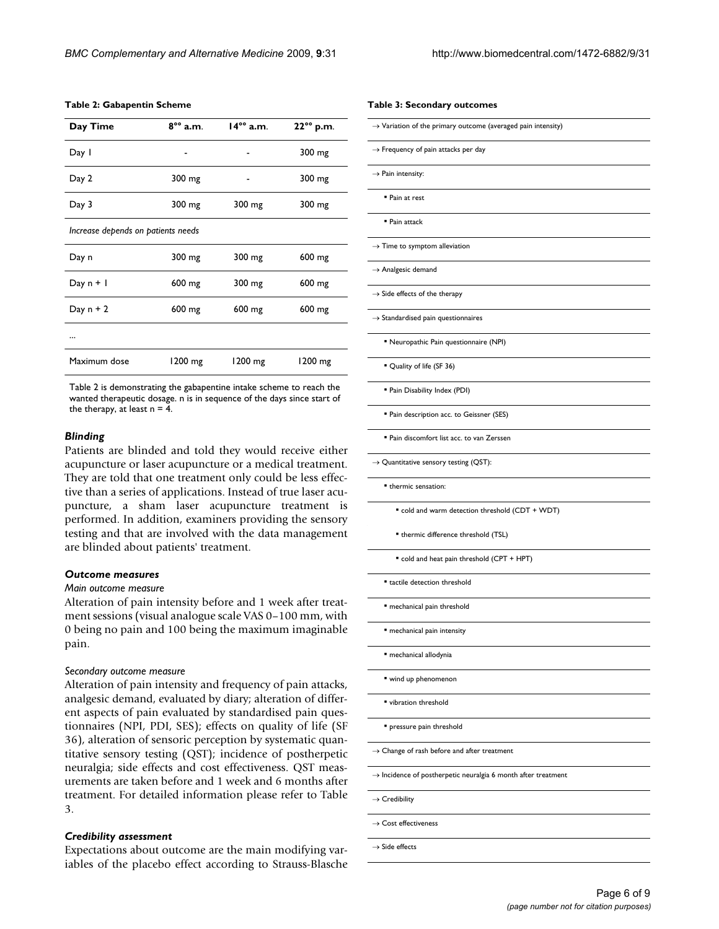<span id="page-5-1"></span>**Table 3: Secondary outcomes**

| Day Time                           | $8^{\circ}$ a.m. | $14^{\circ}$ a.m. | 22°° p.m.        |
|------------------------------------|------------------|-------------------|------------------|
| Day I                              |                  |                   | 300 mg           |
| Day 2                              | 300 mg           |                   | 300 mg           |
| Day 3                              | 300 mg           | $300 \text{ mg}$  | 300 mg           |
| Increase depends on patients needs |                  |                   |                  |
| Day n                              | 300 mg           | $300 \text{ mg}$  | $600 \text{ mg}$ |
| Day n + 1                          | 600 mg           | 300 mg            | 600 mg           |
| Day $n + 2$                        | $600 \text{ mg}$ | $600 \text{ mg}$  | $600 \text{ mg}$ |
|                                    |                  |                   |                  |
| Maximum dose                       | 1200 mg          | $1200 \text{ mg}$ | 1200 mg          |

#### <span id="page-5-0"></span>**Table 2: Gabapentin Scheme**

Table 2 is demonstrating the gabapentine intake scheme to reach the wanted therapeutic dosage. n is in sequence of the days since start of the therapy, at least  $n = 4$ .

# *Blinding*

Patients are blinded and told they would receive either acupuncture or laser acupuncture or a medical treatment. They are told that one treatment only could be less effective than a series of applications. Instead of true laser acupuncture, a sham laser acupuncture treatment is performed. In addition, examiners providing the sensory testing and that are involved with the data management are blinded about patients' treatment.

#### *Outcome measures*

### *Main outcome measure*

Alteration of pain intensity before and 1 week after treatment sessions (visual analogue scale VAS 0–100 mm, with 0 being no pain and 100 being the maximum imaginable pain.

#### *Secondary outcome measure*

Alteration of pain intensity and frequency of pain attacks, analgesic demand, evaluated by diary; alteration of different aspects of pain evaluated by standardised pain questionnaires (NPI, PDI, SES); effects on quality of life (SF 36), alteration of sensoric perception by systematic quantitative sensory testing (QST); incidence of postherpetic neuralgia; side effects and cost effectiveness. QST measurements are taken before and 1 week and 6 months after treatment. For detailed information please refer to Table [3.](#page-5-1)

## *Credibility assessment*

Expectations about outcome are the main modifying variables of the placebo effect according to Strauss-Blasche

| $\rightarrow$ Variation of the primary outcome (averaged pain intensity)  |  |
|---------------------------------------------------------------------------|--|
| $\rightarrow$ Frequency of pain attacks per day                           |  |
| $\rightarrow$ Pain intensity:                                             |  |
| " Pain at rest                                                            |  |
| • Pain attack                                                             |  |
| $\rightarrow$ Time to symptom alleviation                                 |  |
| $\rightarrow$ Analgesic demand                                            |  |
| $\rightarrow$ Side effects of the therapy                                 |  |
| $\rightarrow$ Standardised pain questionnaires                            |  |
| " Neuropathic Pain questionnaire (NPI)                                    |  |
| " Quality of life (SF 36)                                                 |  |
| • Pain Disability Index (PDI)                                             |  |
| " Pain description acc. to Geissner (SES)                                 |  |
| " Pain discomfort list acc. to van Zerssen                                |  |
| $\rightarrow$ Quantitative sensory testing (QST):                         |  |
| • thermic sensation:                                                      |  |
| " cold and warm detection threshold (CDT + WDT)                           |  |
| • thermic difference threshold (TSL)                                      |  |
| " cold and heat pain threshold (CPT + HPT)                                |  |
| " tactile detection threshold                                             |  |
| mechanical pain threshold                                                 |  |
| " mechanical pain intensity                                               |  |
| · mechanical allodynia                                                    |  |
| wind up phenomenon                                                        |  |
| vibration threshold                                                       |  |
| " pressure pain threshold                                                 |  |
| $\rightarrow$ Change of rash before and after treatment                   |  |
| $\rightarrow$ Incidence of postherpetic neuralgia 6 month after treatment |  |
| $\rightarrow$ Credibility                                                 |  |
| $\rightarrow$ Cost effectiveness                                          |  |
| $\rightarrow$ Side effects                                                |  |
|                                                                           |  |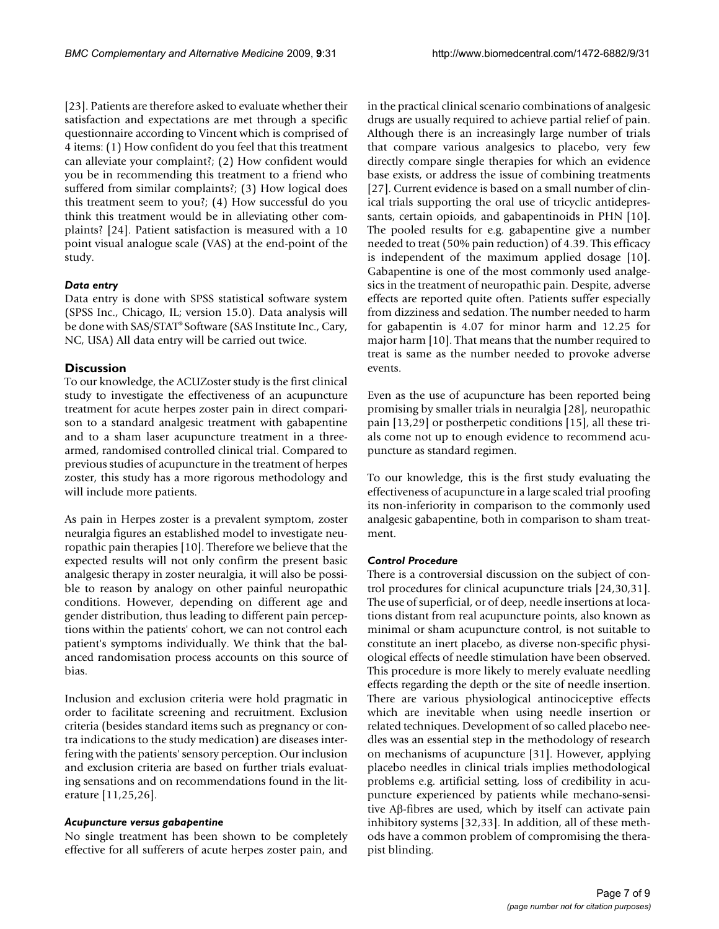[[23](#page-8-7)]. Patients are therefore asked to evaluate whether their satisfaction and expectations are met through a specific questionnaire according to Vincent which is comprised of 4 items: (1) How confident do you feel that this treatment can alleviate your complaint?; (2) How confident would you be in recommending this treatment to a friend who suffered from similar complaints?; (3) How logical does this treatment seem to you?; (4) How successful do you think this treatment would be in alleviating other complaints? [[24\]](#page-8-8). Patient satisfaction is measured with a 10 point visual analogue scale (VAS) at the end-point of the study.

# *Data entry*

Data entry is done with SPSS statistical software system (SPSS Inc., Chicago, IL; version 15.0). Data analysis will be done with SAS/STAT® Software (SAS Institute Inc., Cary, NC, USA) All data entry will be carried out twice.

# **Discussion**

To our knowledge, the ACUZoster study is the first clinical study to investigate the effectiveness of an acupuncture treatment for acute herpes zoster pain in direct comparison to a standard analgesic treatment with gabapentine and to a sham laser acupuncture treatment in a threearmed, randomised controlled clinical trial. Compared to previous studies of acupuncture in the treatment of herpes zoster, this study has a more rigorous methodology and will include more patients.

As pain in Herpes zoster is a prevalent symptom, zoster neuralgia figures an established model to investigate neuropathic pain therapies [\[10](#page-7-9)]. Therefore we believe that the expected results will not only confirm the present basic analgesic therapy in zoster neuralgia, it will also be possible to reason by analogy on other painful neuropathic conditions. However, depending on different age and gender distribution, thus leading to different pain perceptions within the patients' cohort, we can not control each patient's symptoms individually. We think that the balanced randomisation process accounts on this source of bias.

Inclusion and exclusion criteria were hold pragmatic in order to facilitate screening and recruitment. Exclusion criteria (besides standard items such as pregnancy or contra indications to the study medication) are diseases interfering with the patients' sensory perception. Our inclusion and exclusion criteria are based on further trials evaluating sensations and on recommendations found in the literature [\[11](#page-7-11),[25](#page-8-9),[26\]](#page-8-10).

# *Acupuncture versus gabapentine*

No single treatment has been shown to be completely effective for all sufferers of acute herpes zoster pain, and in the practical clinical scenario combinations of analgesic drugs are usually required to achieve partial relief of pain. Although there is an increasingly large number of trials that compare various analgesics to placebo, very few directly compare single therapies for which an evidence base exists, or address the issue of combining treatments [[27](#page-8-11)]. Current evidence is based on a small number of clinical trials supporting the oral use of tricyclic antidepressants, certain opioids, and gabapentinoids in PHN [\[10](#page-7-9)]. The pooled results for e.g. gabapentine give a number needed to treat (50% pain reduction) of 4.39. This efficacy is independent of the maximum applied dosage [\[10](#page-7-9)]. Gabapentine is one of the most commonly used analgesics in the treatment of neuropathic pain. Despite, adverse effects are reported quite often. Patients suffer especially from dizziness and sedation. The number needed to harm for gabapentin is 4.07 for minor harm and 12.25 for major harm [\[10](#page-7-9)]. That means that the number required to treat is same as the number needed to provoke adverse events.

Even as the use of acupuncture has been reported being promising by smaller trials in neuralgia [[28\]](#page-8-12), neuropathic pain [[13](#page-8-0)[,29](#page-8-13)] or postherpetic conditions [\[15\]](#page-8-2), all these trials come not up to enough evidence to recommend acupuncture as standard regimen.

To our knowledge, this is the first study evaluating the effectiveness of acupuncture in a large scaled trial proofing its non-inferiority in comparison to the commonly used analgesic gabapentine, both in comparison to sham treatment.

# *Control Procedure*

There is a controversial discussion on the subject of control procedures for clinical acupuncture trials [[24](#page-8-8),[30,](#page-8-14)[31](#page-8-15)]. The use of superficial, or of deep, needle insertions at locations distant from real acupuncture points, also known as minimal or sham acupuncture control, is not suitable to constitute an inert placebo, as diverse non-specific physiological effects of needle stimulation have been observed. This procedure is more likely to merely evaluate needling effects regarding the depth or the site of needle insertion. There are various physiological antinociceptive effects which are inevitable when using needle insertion or related techniques. Development of so called placebo needles was an essential step in the methodology of research on mechanisms of acupuncture [[31\]](#page-8-15). However, applying placebo needles in clinical trials implies methodological problems e.g. artificial setting, loss of credibility in acupuncture experienced by patients while mechano-sensitive Aβ-fibres are used, which by itself can activate pain inhibitory systems [\[32](#page-8-16)[,33](#page-8-17)]. In addition, all of these methods have a common problem of compromising the therapist blinding.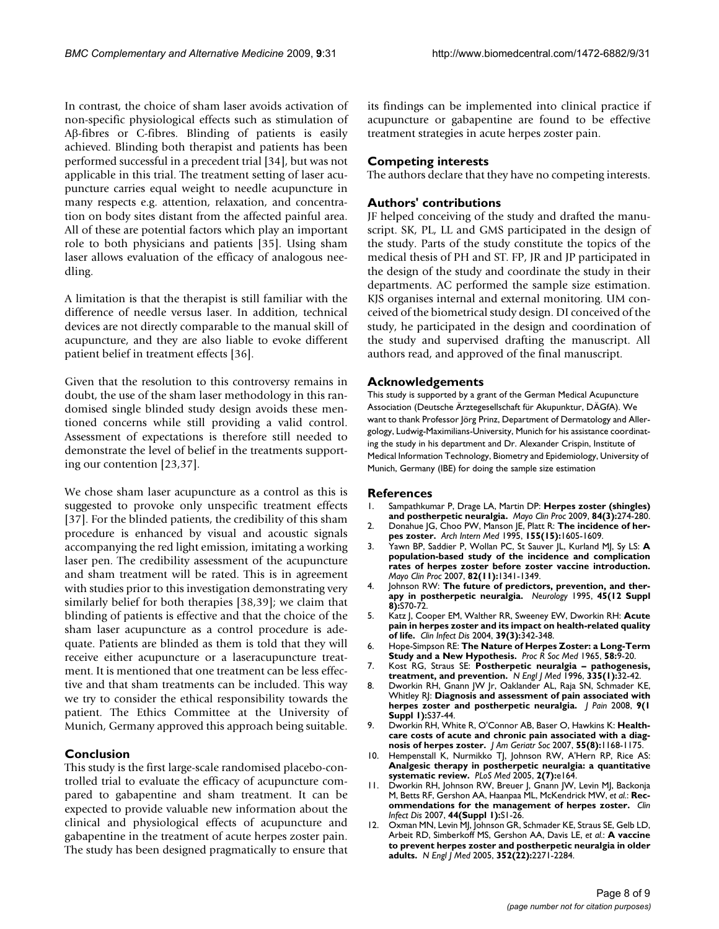In contrast, the choice of sham laser avoids activation of non-specific physiological effects such as stimulation of Aβ-fibres or C-fibres. Blinding of patients is easily achieved. Blinding both therapist and patients has been performed successful in a precedent trial [\[34](#page-8-18)], but was not applicable in this trial. The treatment setting of laser acupuncture carries equal weight to needle acupuncture in many respects e.g. attention, relaxation, and concentration on body sites distant from the affected painful area. All of these are potential factors which play an important role to both physicians and patients [\[35](#page-8-19)]. Using sham laser allows evaluation of the efficacy of analogous needling.

A limitation is that the therapist is still familiar with the difference of needle versus laser. In addition, technical devices are not directly comparable to the manual skill of acupuncture, and they are also liable to evoke different patient belief in treatment effects [[36\]](#page-8-20).

Given that the resolution to this controversy remains in doubt, the use of the sham laser methodology in this randomised single blinded study design avoids these mentioned concerns while still providing a valid control. Assessment of expectations is therefore still needed to demonstrate the level of belief in the treatments supporting our contention [\[23](#page-8-7),[37](#page-8-21)].

We chose sham laser acupuncture as a control as this is suggested to provoke only unspecific treatment effects [[37](#page-8-21)]. For the blinded patients, the credibility of this sham procedure is enhanced by visual and acoustic signals accompanying the red light emission, imitating a working laser pen. The credibility assessment of the acupuncture and sham treatment will be rated. This is in agreement with studies prior to this investigation demonstrating very similarly belief for both therapies [[38,](#page-8-22)[39](#page-8-23)]; we claim that blinding of patients is effective and that the choice of the sham laser acupuncture as a control procedure is adequate. Patients are blinded as them is told that they will receive either acupuncture or a laseracupuncture treatment. It is mentioned that one treatment can be less effective and that sham treatments can be included. This way we try to consider the ethical responsibility towards the patient. The Ethics Committee at the University of Munich, Germany approved this approach being suitable.

# **Conclusion**

This study is the first large-scale randomised placebo-controlled trial to evaluate the efficacy of acupuncture compared to gabapentine and sham treatment. It can be expected to provide valuable new information about the clinical and physiological effects of acupuncture and gabapentine in the treatment of acute herpes zoster pain. The study has been designed pragmatically to ensure that its findings can be implemented into clinical practice if acupuncture or gabapentine are found to be effective treatment strategies in acute herpes zoster pain.

# **Competing interests**

The authors declare that they have no competing interests.

# **Authors' contributions**

JF helped conceiving of the study and drafted the manuscript. SK, PL, LL and GMS participated in the design of the study. Parts of the study constitute the topics of the medical thesis of PH and ST. FP, JR and JP participated in the design of the study and coordinate the study in their departments. AC performed the sample size estimation. KJS organises internal and external monitoring. UM conceived of the biometrical study design. DI conceived of the study, he participated in the design and coordination of the study and supervised drafting the manuscript. All authors read, and approved of the final manuscript.

# **Acknowledgements**

This study is supported by a grant of the German Medical Acupuncture Association (Deutsche Ärztegesellschaft für Akupunktur, DÄGfA). We want to thank Professor Jörg Prinz, Department of Dermatology and Allergology, Ludwig-Maximilians-University, Munich for his assistance coordinating the study in his department and Dr. Alexander Crispin, Institute of Medical Information Technology, Biometry and Epidemiology, University of Munich, Germany (IBE) for doing the sample size estimation

#### **References**

- <span id="page-7-0"></span>1. Sampathkumar P, Drage LA, Martin DP: **[Herpes zoster \(shingles\)](http://www.ncbi.nlm.nih.gov/entrez/query.fcgi?cmd=Retrieve&db=PubMed&dopt=Abstract&list_uids=19252116) [and postherpetic neuralgia.](http://www.ncbi.nlm.nih.gov/entrez/query.fcgi?cmd=Retrieve&db=PubMed&dopt=Abstract&list_uids=19252116)** *Mayo Clin Proc* 2009, **84(3):**274-280.
- <span id="page-7-1"></span>2. Donahue JG, Choo PW, Manson JE, Platt R: **[The incidence of her](http://www.ncbi.nlm.nih.gov/entrez/query.fcgi?cmd=Retrieve&db=PubMed&dopt=Abstract&list_uids=7618983)[pes zoster.](http://www.ncbi.nlm.nih.gov/entrez/query.fcgi?cmd=Retrieve&db=PubMed&dopt=Abstract&list_uids=7618983)** *Arch Intern Med* 1995, **155(15):**1605-1609.
- <span id="page-7-2"></span>3. Yawn BP, Saddier P, Wollan PC, St Sauver JL, Kurland MJ, Sy LS: **[A](http://www.ncbi.nlm.nih.gov/entrez/query.fcgi?cmd=Retrieve&db=PubMed&dopt=Abstract&list_uids=17976353) [population-based study of the incidence and complication](http://www.ncbi.nlm.nih.gov/entrez/query.fcgi?cmd=Retrieve&db=PubMed&dopt=Abstract&list_uids=17976353) rates of herpes zoster before zoster vaccine introduction.** *Mayo Clin Proc* 2007, **82(11):**1341-1349.
- <span id="page-7-3"></span>4. Johnson RW: **[The future of predictors, prevention, and ther](http://www.ncbi.nlm.nih.gov/entrez/query.fcgi?cmd=Retrieve&db=PubMed&dopt=Abstract&list_uids=8545029)[apy in postherpetic neuralgia.](http://www.ncbi.nlm.nih.gov/entrez/query.fcgi?cmd=Retrieve&db=PubMed&dopt=Abstract&list_uids=8545029)** *Neurology* 1995, **45(12 Suppl 8):**S70-72.
- <span id="page-7-7"></span>5. Katz J, Cooper EM, Walther RR, Sweeney EW, Dworkin RH: **[Acute](http://www.ncbi.nlm.nih.gov/entrez/query.fcgi?cmd=Retrieve&db=PubMed&dopt=Abstract&list_uids=15307000) [pain in herpes zoster and its impact on health-related quality](http://www.ncbi.nlm.nih.gov/entrez/query.fcgi?cmd=Retrieve&db=PubMed&dopt=Abstract&list_uids=15307000) [of life.](http://www.ncbi.nlm.nih.gov/entrez/query.fcgi?cmd=Retrieve&db=PubMed&dopt=Abstract&list_uids=15307000)** *Clin Infect Dis* 2004, **39(3):**342-348.
- <span id="page-7-4"></span>6. Hope-Simpson RE: **[The Nature of Herpes Zoster: a Long-Term](http://www.ncbi.nlm.nih.gov/entrez/query.fcgi?cmd=Retrieve&db=PubMed&dopt=Abstract&list_uids=14267505) [Study and a New Hypothesis.](http://www.ncbi.nlm.nih.gov/entrez/query.fcgi?cmd=Retrieve&db=PubMed&dopt=Abstract&list_uids=14267505)** *Proc R Soc Med* 1965, **58:**9-20.
- <span id="page-7-5"></span>7. Kost RG, Straus SE: **[Postherpetic neuralgia – pathogenesis,](http://www.ncbi.nlm.nih.gov/entrez/query.fcgi?cmd=Retrieve&db=PubMed&dopt=Abstract&list_uids=8637540) [treatment, and prevention.](http://www.ncbi.nlm.nih.gov/entrez/query.fcgi?cmd=Retrieve&db=PubMed&dopt=Abstract&list_uids=8637540)** *N Engl J Med* 1996, **335(1):**32-42.
- <span id="page-7-6"></span>8. Dworkin RH, Gnann JW Jr, Oaklander AL, Raja SN, Schmader KE, Whitley RJ: **[Diagnosis and assessment of pain associated with](http://www.ncbi.nlm.nih.gov/entrez/query.fcgi?cmd=Retrieve&db=PubMed&dopt=Abstract&list_uids=18166464) [herpes zoster and postherpetic neuralgia.](http://www.ncbi.nlm.nih.gov/entrez/query.fcgi?cmd=Retrieve&db=PubMed&dopt=Abstract&list_uids=18166464)** *J Pain* 2008, **9(1 Suppl 1):**S37-44.
- <span id="page-7-8"></span>9. Dworkin RH, White R, O'Connor AB, Baser O, Hawkins K: **[Health](http://www.ncbi.nlm.nih.gov/entrez/query.fcgi?cmd=Retrieve&db=PubMed&dopt=Abstract&list_uids=17661954)[care costs of acute and chronic pain associated with a diag](http://www.ncbi.nlm.nih.gov/entrez/query.fcgi?cmd=Retrieve&db=PubMed&dopt=Abstract&list_uids=17661954)[nosis of herpes zoster.](http://www.ncbi.nlm.nih.gov/entrez/query.fcgi?cmd=Retrieve&db=PubMed&dopt=Abstract&list_uids=17661954)** *J Am Geriatr Soc* 2007, **55(8):**1168-1175.
- <span id="page-7-9"></span>10. Hempenstall K, Nurmikko TJ, Johnson RW, A'Hern RP, Rice AS: **[Analgesic therapy in postherpetic neuralgia: a quantitative](http://www.ncbi.nlm.nih.gov/entrez/query.fcgi?cmd=Retrieve&db=PubMed&dopt=Abstract&list_uids=16013891) [systematic review.](http://www.ncbi.nlm.nih.gov/entrez/query.fcgi?cmd=Retrieve&db=PubMed&dopt=Abstract&list_uids=16013891)** *PLoS Med* 2005, **2(7):**e164.
- <span id="page-7-11"></span>11. Dworkin RH, Johnson RW, Breuer J, Gnann JW, Levin MJ, Backonja M, Betts RF, Gershon AA, Haanpaa ML, McKendrick MW, *et al.*: **[Rec](http://www.ncbi.nlm.nih.gov/entrez/query.fcgi?cmd=Retrieve&db=PubMed&dopt=Abstract&list_uids=17143845)[ommendations for the management of herpes zoster.](http://www.ncbi.nlm.nih.gov/entrez/query.fcgi?cmd=Retrieve&db=PubMed&dopt=Abstract&list_uids=17143845)** *Clin Infect Dis* 2007, **44(Suppl 1):**S1-26.
- <span id="page-7-10"></span>12. Oxman MN, Levin MJ, Johnson GR, Schmader KE, Straus SE, Gelb LD, Arbeit RD, Simberkoff MS, Gershon AA, Davis LE, *et al.*: **[A vaccine](http://www.ncbi.nlm.nih.gov/entrez/query.fcgi?cmd=Retrieve&db=PubMed&dopt=Abstract&list_uids=15930418) [to prevent herpes zoster and postherpetic neuralgia in older](http://www.ncbi.nlm.nih.gov/entrez/query.fcgi?cmd=Retrieve&db=PubMed&dopt=Abstract&list_uids=15930418) [adults.](http://www.ncbi.nlm.nih.gov/entrez/query.fcgi?cmd=Retrieve&db=PubMed&dopt=Abstract&list_uids=15930418)** *N Engl J Med* 2005, **352(22):**2271-2284.